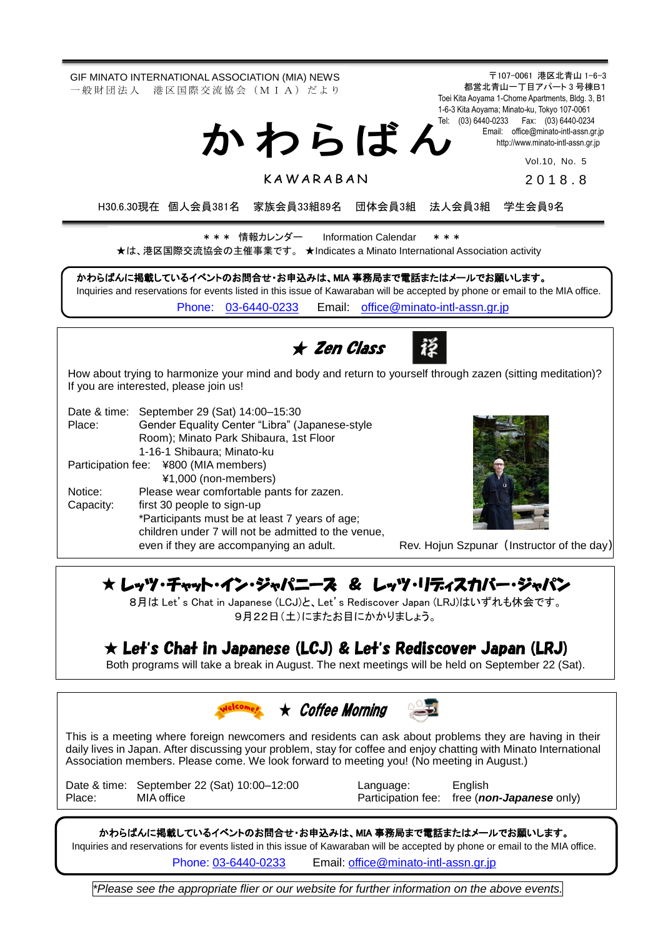〒107-0061 港区北青山 1-6-3 都営北青山一丁目アパート 3 号棟B1 Toei Kita Aoyama 1-Chome Apartments, Bldg. 3, B1 1-6-3 Kita Aoyama; Minato-ku, Tokyo 107-0061 Tel: (03) 6440-0233 Fax: (03) 6440-0234 Email: [office@minato-intl-assn.gr.jp](mailto:office@minato-intl-assn.gr.jp) [http://www.minato-intl-assn.gr.jp](http://www.minato-intl-assn.gr.jp/) Vol.10, No. 5 201 8 . 8 GIF MINATO INTERNATIONAL ASSOCIATION (MIA) NEWS 一 般 財 団 法 人 港 区 国 際 交 流 協 会 (M I A) だ よ り か わ ら ば ん **KAWARABAN** H30.6.30現在 個人会員381名 家族会員33組89名 団体会員3組 法人会員3組 学生会員9名 かわらばんに掲載しているイベントのお問合せ・お申込みは、MIA 事務局まで電話またはメールでお願いします。 Inquiries and reservations for events listed in this issue of Kawaraban will be accepted by phone or email to the MIA office. [Phone: 03-6440-0233](mailto:Phone:%20%2003-6440-0233) Email: [office@minato-intl-assn.gr.jp](mailto:office@minato-intl-assn.gr.jp) \* \* \* 情報カレンダー Information Calendar \* \* \* ★は、港区国際交流協会の主催事業です。 ★Indicates a Minato International Association activity ★ Zen Class How about trying to harmonize your mind and body and return to yourself through zazen (sitting meditation)? If you are interested, please join us! Date & time: September 29 (Sat) 14:00–15:30 Place: Gender Equality Center "Libra" (Japanese-style Room); Minato Park Shibaura, 1st Floor 1-16-1 Shibaura; Minato-ku Participation fee: ¥800 (MIA members) ¥1,000 (non-members) Notice: Please wear comfortable pants for zazen. Capacity: first 30 people to sign-up \*Participants must be at least 7 years of age; children under 7 will not be admitted to the venue, even if they are accompanying an adult. Rev. Hojun Szpunar (Instructor of the day)

## ★ レッツ・チャット・イン・ジャパニーズ & レッツ・リディスカバー・ジャパン

8月は Let's Chat in Japanese (LCJ)と、Let's Rediscover Japan (LRJ)はいずれも休会です。 9月22日(土)にまたお目にかかりましょう。

## ★ Let**'**s Chat in Japanese (LCJ) & Let**'**s Rediscover Japan (LRJ)

Both programs will take a break in August. The next meetings will be held on September 22 (Sat).



This is a meeting where foreign newcomers and residents can ask about problems they are having in their daily lives in Japan. After discussing your problem, stay for coffee and enjoy chatting with Minato International Association members. Please come. We look forward to meeting you! (No meeting in August.)

Date & time: September 22 (Sat) 10:00–12:00 Language: English<br>Place: MIA office Raticipation fee: free (not

Participation fee: free (*non-Japanese* only)

かわらばんに掲載しているイベントのお問合せ・お申込みは、MIA 事務局まで電話またはメールでお願いします。 Inquiries and reservations for events listed in this issue of Kawaraban will be accepted by phone or email to the MIA office.

Phone: [03-6440-0233](mailto:TEL:%0903-6440-0233) Email: [office@minato-intl-assn.gr.jp](mailto:office@minato-intl-assn.gr.jp)

*\*Please see the appropriate flier or our website for further information on the above events.*